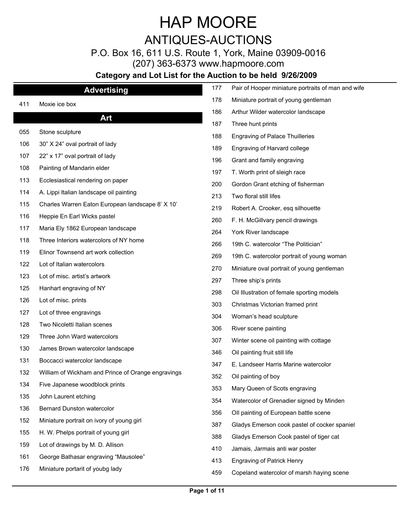### ANTIQUES-AUCTIONS

P.O. Box 16, 611 U.S. Route 1, York, Maine 03909-0016

(207) 363-6373 www.hapmoore.com

|     | <b>Advertising</b>                                 | 177 | Pair of Hooper miniature portraits of man and wife |
|-----|----------------------------------------------------|-----|----------------------------------------------------|
| 411 | Moxie ice box                                      | 178 | Miniature portrait of young gentleman              |
|     | Art                                                | 186 | Arthur Wilder watercolor landscape                 |
|     |                                                    | 187 | Three hunt prints                                  |
| 055 | Stone sculpture                                    | 188 | <b>Engraving of Palace Thuilleries</b>             |
| 106 | 30" X 24" oval portrait of lady                    | 189 | Engraving of Harvard college                       |
| 107 | 22" x 17" oval portrait of lady                    | 196 | Grant and family engraving                         |
| 108 | Painting of Mandarin elder                         | 197 | T. Worth print of sleigh race                      |
| 113 | Ecclesiastical rendering on paper                  | 200 | Gordon Grant etching of fisherman                  |
| 114 | A. Lippi Italian landscape oil painting            | 213 | Two floral still lifes                             |
| 115 | Charles Warren Eaton European landscape 8' X 10'   | 219 | Robert A. Crooker, esq silhouette                  |
| 116 | Heppie En Earl Wicks pastel                        | 260 | F. H. McGillvary pencil drawings                   |
| 117 | Maria Ely 1862 European landscape                  | 264 | York River landscape                               |
| 118 | Three Interiors watercolors of NY home             | 266 | 19th C. watercolor "The Politician"                |
| 119 | Elinor Townsend art work collection                | 269 | 19th C. watercolor portrait of young woman         |
| 122 | Lot of Italian watercolors                         | 270 | Miniature oval portrait of young gentleman         |
| 123 | Lot of misc. artist's artwork                      | 297 | Three ship's prints                                |
| 125 | Hanhart engraving of NY                            | 298 | Oil Illustration of female sporting models         |
| 126 | Lot of misc. prints                                | 303 | Christmas Victorian framed print                   |
| 127 | Lot of three engravings                            | 304 | Woman's head sculpture                             |
| 128 | Two Nicoletti Italian scenes                       |     |                                                    |
| 129 | Three John Ward watercolors                        | 306 | River scene painting                               |
| 130 | James Brown watercolor landscape                   | 307 | Winter scene oil painting with cottage             |
| 131 | Boccacci watercolor landscape                      | 346 | Oil painting fruit still life                      |
| 132 | William of Wickham and Prince of Orange engravings | 347 | E. Landseer Harris Marine watercolor               |
| 134 | Five Japanese woodblock prints                     | 352 | Oil painting of boy                                |
| 135 | John Laurent etching                               | 353 | Mary Queen of Scots engraving                      |
| 136 | Bernard Dunston watercolor                         | 354 | Watercolor of Grenadier signed by Minden           |
| 152 | Miniature portrait on ivory of young girl          | 356 | Oll painting of European battle scene              |
| 155 | H. W. Phelps portrait of young girl                | 387 | Gladys Emerson cook pastel of cocker spaniel       |
| 159 | Lot of drawings by M. D. Allison                   | 388 | Gladys Emerson Cook pastel of tiger cat            |
|     |                                                    | 410 | Jamais, Jarmais anti war poster                    |
| 161 | George Bathasar engraving "Mausolee"               | 413 | <b>Engraving of Patrick Henry</b>                  |
| 176 | Miniature portarit of youbg lady                   | 459 | Copeland watercolor of marsh haying scene          |
|     |                                                    |     |                                                    |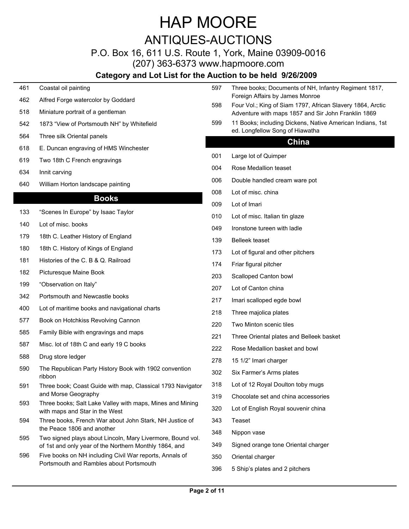ANTIQUES-AUCTIONS

### P.O. Box 16, 611 U.S. Route 1, York, Maine 03909-0016

(207) 363-6373 www.hapmoore.com

### **Category and Lot List for the Auction to be held 9/26/2009**

| 461 | Coastal oil painting                                                                        | 597 | Three books; Documents of NH, Infantry Regiment 1817,                                         |
|-----|---------------------------------------------------------------------------------------------|-----|-----------------------------------------------------------------------------------------------|
| 462 | Alfred Forge watercolor by Goddard                                                          | 598 | Foreign Affairs by James Monroe<br>Four Vol.; King of Siam 1797, African Slavery 1864, Arctic |
| 518 | Miniature portrait of a gentleman                                                           |     | Adventure with maps 1857 and Sir John Franklin 1869                                           |
| 542 | 1873 "View of Portsmouth NH" by Whitefield                                                  | 599 | 11 Books; including Dickens, Native American Indians, 1st                                     |
| 564 | Three silk Oriental panels                                                                  |     | ed. Longfellow Song of Hiawatha<br>China                                                      |
| 618 | E. Duncan engraving of HMS Winchester                                                       |     |                                                                                               |
| 619 | Two 18th C French engravings                                                                | 00  | Large lot of Quimper                                                                          |
| 634 | Innit carving                                                                               | 004 | Rose Medallion teaset                                                                         |
| 640 | William Horton landscape painting                                                           | 006 | Double handled cream ware pot                                                                 |
|     | <b>Books</b>                                                                                | 008 | Lot of misc. china                                                                            |
|     | "Scenes In Europe" by Isaac Taylor                                                          | 009 | Lot of Imari                                                                                  |
| 133 |                                                                                             | 010 | Lot of misc. Italian tin glaze                                                                |
| 140 | Lot of misc. books                                                                          | 049 | Ironstone tureen with ladle                                                                   |
| 179 | 18th C. Leather History of England                                                          | 139 | <b>Belleek</b> teaset                                                                         |
| 180 | 18th C. History of Kings of England                                                         | 173 | Lot of figural and other pitchers                                                             |
| 181 | Histories of the C. B & Q. Railroad                                                         | 174 | Friar figural pitcher                                                                         |
| 182 | Picturesque Maine Book                                                                      | 203 | Scalloped Canton bowl                                                                         |
| 199 | "Observation on Italy"                                                                      | 207 | Lot of Canton china                                                                           |
| 342 | Portsmouth and Newcastle books                                                              | 217 | Imari scalloped egde bowl                                                                     |
| 400 | Lot of maritime books and navigational charts                                               | 218 | Three majolica plates                                                                         |
| 577 | Book on Hotchkiss Revolving Cannon                                                          | 220 | Two Minton scenic tiles                                                                       |
| 585 | Family Bible with engravings and maps                                                       | 22' | Three Oriental plates and Belleek basket                                                      |
| 587 | Misc. lot of 18th C and early 19 C books                                                    | 222 | Rose Medallion basket and bowl                                                                |
| 588 | Drug store ledger                                                                           | 278 | 15 1/2" Imari charger                                                                         |
| 590 | The Republican Party History Book with 1902 convention<br>ribbon                            | 302 | Six Farmer's Arms plates                                                                      |
| 591 | Three book; Coast Guide with map, Classical 1793 Navigator                                  | 318 | Lot of 12 Royal Doulton toby mugs                                                             |
|     | and Morse Geography                                                                         | 319 | Chocolate set and china accessories                                                           |
| 593 | Three books; Salt Lake Valley with maps, Mines and Mining<br>with maps and Star in the West | 320 | Lot of English Royal souvenir china                                                           |
| 594 | Three books, French War about John Stark, NH Justice of                                     | 343 | Teaset                                                                                        |
| 595 | the Peace 1806 and another<br>Two signed plays about Lincoln, Mary Livermore, Bound vol.    | 348 | Nippon vase                                                                                   |
|     | of 1st and only year of the Northern Monthly 1864, and                                      | 349 | Signed orange tone Oriental charger                                                           |
| 596 | Five books on NH including Civil War reports, Annals of                                     | 350 | Oriental charger                                                                              |
|     | Portsmouth and Rambles about Portsmouth                                                     | 396 | 5 Ship's plates and 2 pitchers                                                                |

 $\overline{\phantom{a}}$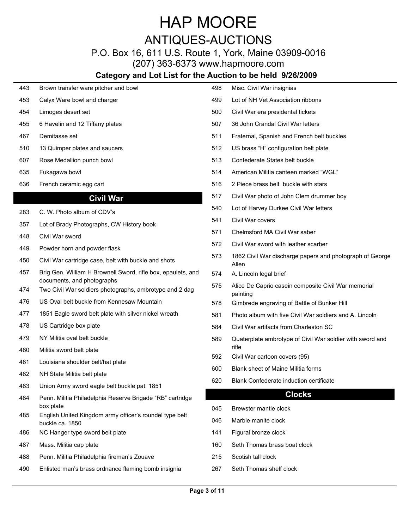ANTIQUES-AUCTIONS

P.O. Box 16, 611 U.S. Route 1, York, Maine 03909-0016

(207) 363-6373 www.hapmoore.com

| 443 | Brown transfer ware pitcher and bowl                                                    | 498        | Misc. Civil War insignias                                         |
|-----|-----------------------------------------------------------------------------------------|------------|-------------------------------------------------------------------|
| 453 | Calyx Ware bowl and charger                                                             | 499        | Lot of NH Vet Association ribbons                                 |
| 454 | Limoges desert set                                                                      | 500        | Civil War era presidental tickets                                 |
| 455 | 6 Havelin and 12 Tiffany plates                                                         | 507        | 36 John Crandal Civil War letters                                 |
| 467 | Demitasse set                                                                           | 511        | Fraternal, Spanish and French belt buckles                        |
| 510 | 13 Quimper plates and saucers                                                           | 512        | US brass "H" configuration belt plate                             |
| 607 | Rose Medallion punch bowl                                                               | 513        | Confederate States belt buckle                                    |
| 635 | Fukagawa bowl                                                                           | 514        | American Militia canteen marked "WGL"                             |
| 636 | French ceramic egg cart                                                                 | 516        | 2 Piece brass belt buckle with stars                              |
|     | <b>Civil War</b>                                                                        | 517        | Civil War photo of John Clem drummer boy                          |
| 283 | C. W. Photo album of CDV's                                                              | 540        | Lot of Harvey Durkee Civil War letters                            |
| 357 | Lot of Brady Photographs, CW History book                                               | 541        | Civil War covers                                                  |
| 448 | Civil War sword                                                                         | 571        | Chelmsford MA Civil War saber                                     |
| 449 | Powder horn and powder flask                                                            | 572        | Civil War sword with leather scarber                              |
| 450 | Civil War cartridge case, belt with buckle and shots                                    | 573        | 1862 Civil War discharge papers and photograph of George<br>Allen |
| 457 | Brig Gen. William H Brownell Sword, rifle box, epaulets, and                            | 574        | A. Lincoln legal brief                                            |
| 474 | documents, and photographs<br>Two Civil War soldiers photographs, ambrotype and 2 dag   | 575        | Alice De Caprio casein composite Civil War memorial<br>painting   |
| 476 | US Oval belt buckle from Kennesaw Mountain                                              | 578        | Gimbrede engraving of Battle of Bunker Hill                       |
| 477 | 1851 Eagle sword belt plate with silver nickel wreath                                   | 581        | Photo album with five Civil War soldiers and A. Lincoln           |
| 478 | US Cartridge box plate                                                                  | 584        | Civil War artifacts from Charleston SC                            |
| 479 | NY Militia oval belt buckle                                                             | 589        | Quaterplate ambrotype of Civil War soldier with sword and         |
| 480 | Militia sword belt plate                                                                |            | rifle                                                             |
| 481 | Louisiana shoulder belt/hat plate                                                       | 592        | Civil War cartoon covers (95)                                     |
| 482 | NH State Militia belt plate                                                             | 600        | Blank sheet of Maine Militia forms                                |
| 483 | Union Army sword eagle belt buckle pat. 1851                                            | 620        | Blank Confederate induction certificate                           |
| 484 | Penn. Militia Philadelphia Reserve Brigade "RB" cartridge                               |            | <b>Clocks</b>                                                     |
| 485 | box plate<br>English United Kingdom army officer's roundel type belt<br>buckle ca. 1850 | 045<br>046 | Brewster mantle clock<br>Marble manite clock                      |
| 486 | NC Hanger type sword belt plate                                                         | 141        | Figural bronze clock                                              |
| 487 | Mass. Militia cap plate                                                                 | 160        | Seth Thomas brass boat clock                                      |
| 488 | Penn. Militia Philadelphia fireman's Zouave                                             | 215        | Scotish tall clock                                                |
| 490 | Enlisted man's brass ordnance flaming bomb insignia                                     | 267        | Seth Thomas shelf clock                                           |
|     |                                                                                         |            |                                                                   |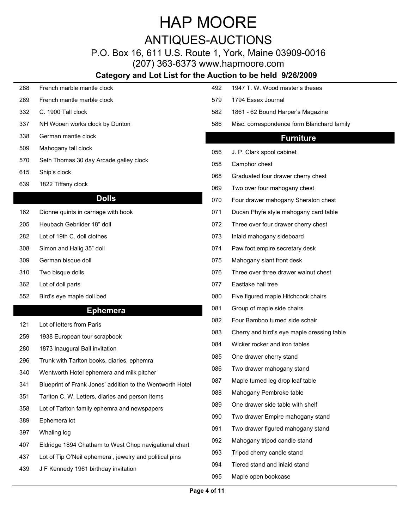ANTIQUES-AUCTIONS

#### P.O. Box 16, 611 U.S. Route 1, York, Maine 03909-0016 (207) 363-6373 www.hapmoore.com

### **Category and Lot List for the Auction to be held 9/26/2009**

| 288 | French marble mantle clock                                | 492 | 1947 T. W. Wood master's theses            |
|-----|-----------------------------------------------------------|-----|--------------------------------------------|
| 289 | French mantle marble clock                                | 579 | 1794 Essex Journal                         |
| 332 | C. 1900 Tall clock                                        | 582 | 1861 - 62 Bound Harper's Magazine          |
| 337 | NH Wooen works clock by Dunton                            | 586 | Misc. correspondence form Blanchard family |
| 338 | German mantle clock                                       |     | <b>Furniture</b>                           |
| 509 | Mahogany tall clock                                       | 056 | J. P. Clark spool cabinet                  |
| 570 | Seth Thomas 30 day Arcade galley clock                    | 058 | Camphor chest                              |
| 615 | Ship's clock                                              | 068 | Graduated four drawer cherry chest         |
| 639 | 1822 Tiffany clock                                        | 069 | Two over four mahogany chest               |
|     | <b>Dolls</b>                                              | 070 | Four drawer mahogany Sheraton chest        |
| 162 | Dionne quints in carriage with book                       | 071 | Ducan Phyfe style mahogany card table      |
| 205 | Heubach Gebriider 18" doll                                | 072 | Three over four drawer cherry chest        |
| 282 | Lot of 19th C. doll clothes                               | 073 | Inlaid mahogany sideboard                  |
| 308 | Simon and Halig 35" doll                                  | 074 | Paw foot empire secretary desk             |
| 309 | German bisque doll                                        | 075 | Mahogany slant front desk                  |
| 310 | Two bisque dolls                                          | 076 | Three over three drawer walnut chest       |
| 362 | Lot of doll parts                                         | 077 | Eastlake hall tree                         |
| 552 | Bird's eye maple doll bed                                 | 080 | Five figured maple Hitchcock chairs        |
|     | <b>Ephemera</b>                                           | 081 | Group of maple side chairs                 |
| 121 | Lot of letters from Paris                                 | 082 | Four Bamboo turned side schair             |
| 259 | 1938 European tour scrapbook                              | 083 | Cherry and bird's eye maple dressing table |
| 280 | 1873 Inaugural Ball invitation                            | 084 | Wicker rocker and iron tables              |
| 296 | Trunk with Tarlton books, diaries, ephemra                | 085 | One drawer cherry stand                    |
| 340 | Wentworth Hotel ephemera and milk pitcher                 | 086 | Two drawer mahogany stand                  |
| 341 | Blueprint of Frank Jones' addition to the Wentworth Hotel | 087 | Maple turned leg drop leaf table           |
|     |                                                           |     |                                            |
| 351 | Tarlton C. W. Letters, diaries and person items           | 088 | Mahogany Pembroke table                    |
| 358 | Lot of Tarlton family ephemra and newspapers              | 089 | One drawer side table with shelf           |
| 389 | Ephemera lot                                              | 090 | Two drawer Empire mahogany stand           |
| 397 | Whaling log                                               | 091 | Two drawer figured mahogany stand          |
| 407 | Eldridge 1894 Chatham to West Chop navigational chart     | 092 | Mahogany tripod candle stand               |
| 437 | Lot of Tip O'Neil ephemera, jewelry and political pins    | 093 | Tripod cherry candle stand                 |
| 439 | J F Kennedy 1961 birthday invitation                      | 094 | Tiered stand and inlaid stand              |

 $\overline{\phantom{a}}$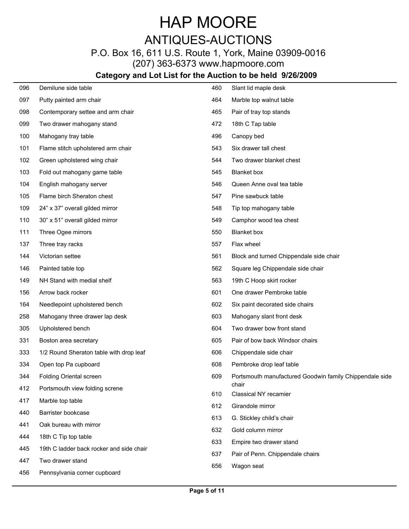## HAP MOORE ANTIQUES-AUCTIONS

P.O. Box 16, 611 U.S. Route 1, York, Maine 03909-0016

(207) 363-6373 www.hapmoore.com

| 096 | Demilune side table                      | 460 | Slant lid maple desk                                    |
|-----|------------------------------------------|-----|---------------------------------------------------------|
| 097 | Putty painted arm chair                  | 464 | Marble top walnut table                                 |
| 098 | Contemporary settee and arm chair        | 465 | Pair of tray top stands                                 |
| 099 | Two drawer mahogany stand                | 472 | 18th C Tap table                                        |
| 100 | Mahogany tray table                      | 496 | Canopy bed                                              |
| 101 | Flame stitch upholstered arm chair       | 543 | Six drawer tall chest                                   |
| 102 | Green upholstered wing chair             | 544 | Two drawer blanket chest                                |
| 103 | Fold out mahogany game table             | 545 | Blanket box                                             |
| 104 | English mahogany server                  | 546 | Queen Anne oval tea table                               |
| 105 | Flame birch Sheraton chest               | 547 | Pine sawbuck table                                      |
| 109 | 24" x 37" overall gilded mirror          | 548 | Tip top mahogany table                                  |
| 110 | 30" x 51" overall gilded mirror          | 549 | Camphor wood tea chest                                  |
| 111 | Three Ogee mirrors                       | 550 | <b>Blanket</b> box                                      |
| 137 | Three tray racks                         | 557 | Flax wheel                                              |
| 144 | Victorian settee                         | 561 | Block and turned Chippendale side chair                 |
| 146 | Painted table top                        | 562 | Square leg Chippendale side chair                       |
| 149 | NH Stand with medial shelf               | 563 | 19th C Hoop skirt rocker                                |
| 156 | Arrow back rocker                        | 601 | One drawer Pembroke table                               |
| 164 | Needlepoint upholstered bench            | 602 | Six paint decorated side chairs                         |
| 258 | Mahogany three drawer lap desk           | 603 | Mahogany slant front desk                               |
| 305 | Upholstered bench                        | 604 | Two drawer bow front stand                              |
| 331 | Boston area secretary                    | 605 | Pair of bow back Windsor chairs                         |
| 333 | 1/2 Round Sheraton table with drop leaf  | 606 | Chippendale side chair                                  |
| 334 | Open top Pa cupboard                     | 608 | Pembroke drop leaf table                                |
| 344 | <b>Folding Oriental screen</b>           | 609 | Portsmouth manufactured Goodwin family Chippendale side |
| 412 | Portsmouth view folding screne           |     | chair                                                   |
| 417 | Marble top table                         | 610 | Classical NY recamier                                   |
| 440 | Barrister bookcase                       | 612 | Girandole mirror                                        |
| 441 | Oak bureau with mirror                   | 613 | G. Stickley child's chair                               |
| 444 | 18th C Tip top table                     | 632 | Gold column mirror                                      |
| 445 | 19th C ladder back rocker and side chair | 633 | Empire two drawer stand                                 |
| 447 | Two drawer stand                         | 637 | Pair of Penn. Chippendale chairs                        |
| 456 | Pennsylvania corner cupboard             | 656 | Wagon seat                                              |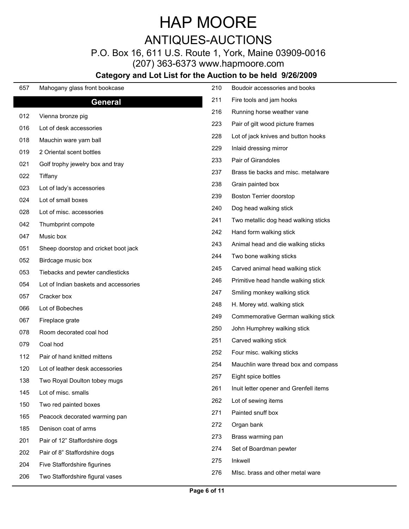ANTIQUES-AUCTIONS

P.O. Box 16, 611 U.S. Route 1, York, Maine 03909-0016

(207) 363-6373 www.hapmoore.com

| 657 | Mahogany glass front bookcase         | 210 | Boudoir accessories and books          |
|-----|---------------------------------------|-----|----------------------------------------|
|     | <b>General</b>                        | 211 | Fire tools and jam hooks               |
| 012 | Vienna bronze pig                     | 216 | Running horse weather vane             |
| 016 | Lot of desk accessories               | 223 | Pair of gilt wood picture frames       |
| 018 | Mauchin ware yarn ball                | 228 | Lot of jack knives and button hooks    |
| 019 | 2 Oriental scent bottles              | 229 | Inlaid dressing mirror                 |
| 021 | Golf trophy jewelry box and tray      | 233 | Pair of Girandoles                     |
| 022 | Tiffany                               | 237 | Brass tie backs and misc. metalware    |
| 023 | Lot of lady's accessories             | 238 | Grain painted box                      |
| 024 | Lot of small boxes                    | 239 | Boston Terrier doorstop                |
| 028 | Lot of misc. accessories              | 240 | Dog head walking stick                 |
| 042 | Thumbprint compote                    | 241 | Two metallic dog head walking sticks   |
| 047 | Music box                             | 242 | Hand form walking stick                |
|     | Sheep doorstop and cricket boot jack  | 243 | Animal head and die walking sticks     |
| 051 |                                       | 244 | Two bone walking sticks                |
| 052 | Birdcage music box                    | 245 | Carved animal head walking stick       |
| 053 | Tiebacks and pewter candlesticks      | 246 | Primitive head handle walking stick    |
| 054 | Lot of Indian baskets and accessories | 247 | Smiling monkey walking stick           |
| 057 | Cracker box                           | 248 | H. Morey wtd. walking stick            |
| 066 | Lot of Bobeches                       | 249 | Commemorative German walking stick     |
| 067 | Fireplace grate                       | 250 | John Humphrey walking stick            |
| 078 | Room decorated coal hod               | 251 | Carved walking stick                   |
| 079 | Coal hod                              | 252 | Four misc. walking sticks              |
| 112 | Pair of hand knitted mittens          | 254 | Mauchlin ware thread box and compass   |
| 120 | Lot of leather desk accessories       | 257 | Eight spice bottles                    |
| 138 | Two Royal Doulton tobey mugs          | 261 | Inuit letter opener and Grenfell items |
| 145 | Lot of misc. smalls                   | 262 | Lot of sewing items                    |
| 150 | Two red painted boxes                 |     | Painted snuff box                      |
| 165 | Peacock decorated warming pan         | 271 |                                        |
| 185 | Denison coat of arms                  | 272 | Organ bank                             |
| 201 | Pair of 12" Staffordshire dogs        | 273 | Brass warming pan                      |
| 202 | Pair of 8" Staffordshire dogs         | 274 | Set of Boardman pewter                 |
| 204 | Five Staffordshire figurines          | 275 | Inkwell                                |
| 206 | Two Staffordshire figural vases       | 276 | Mlsc. brass and other metal ware       |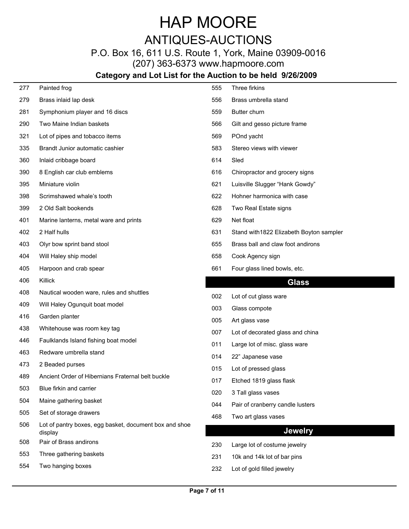## HAP MOORE ANTIQUES-AUCTIONS

P.O. Box 16, 611 U.S. Route 1, York, Maine 03909-0016

(207) 363-6373 www.hapmoore.com

| 277        | Painted frog                                           | 555        | Three firkins                                             |
|------------|--------------------------------------------------------|------------|-----------------------------------------------------------|
| 279        | Brass inlaid lap desk                                  | 556        | Brass umbrella stand                                      |
| 281        | Symphonium player and 16 discs                         | 559        | Butter churn                                              |
| 290        | Two Maine Indian baskets                               | 566        | Gilt and gesso picture frame                              |
| 321        | Lot of pipes and tobacco items                         | 569        | POnd yacht                                                |
| 335        | Brandt Junior automatic cashier                        | 583        | Stereo views with viewer                                  |
| 360        | Inlaid cribbage board                                  | 614        | Sled                                                      |
| 390        | 8 English car club emblems                             | 616        | Chiropractor and grocery signs                            |
| 395        | Miniature violin                                       | 621        | Luisville Slugger "Hank Gowdy"                            |
| 398        | Scrimshawed whale's tooth                              | 622        | Hohner harmonica with case                                |
| 399        | 2 Old Salt bookends                                    | 628        | Two Real Estate signs                                     |
| 401        | Marine lanterns, metal ware and prints                 | 629        | Net float                                                 |
| 402        | 2 Half hulls                                           | 631        | Stand with 1822 Elizabeth Boyton sampler                  |
| 403        | Olyr bow sprint band stool                             | 655        | Brass ball and claw foot andirons                         |
| 404        | Will Haley ship model                                  | 658        | Cook Agency sign                                          |
| 405        | Harpoon and crab spear                                 | 661        | Four glass lined bowls, etc.                              |
|            |                                                        |            |                                                           |
| 406        | Killick                                                |            |                                                           |
| 408        | Nautical wooden ware, rules and shuttles               |            | <b>Glass</b>                                              |
| 409        | Will Haley Ogunquit boat model                         | 002        | Lot of cut glass ware                                     |
| 416        | Garden planter                                         | 003        | Glass compote                                             |
| 438        | Whitehouse was room key tag                            | 005        | Art glass vase                                            |
| 446        | Faulklands Island fishing boat model                   | 007        | Lot of decorated glass and china                          |
| 463        | Redware umbrella stand                                 | 011        | Large lot of misc. glass ware                             |
| 473        | 2 Beaded purses                                        | 014        | 22" Japanese vase                                         |
| 489        | Ancient Order of Hibernians Fraternal belt buckle      | 015        | Lot of pressed glass                                      |
| 503        | Blue firkin and carrier                                | 017        | Etched 1819 glass flask                                   |
| 504        | Maine gathering basket                                 | 020        | 3 Tall glass vases                                        |
| 505        | Set of storage drawers                                 | 044        | Pair of cranberry candle lusters                          |
| 506        | Lot of pantry boxes, egg basket, document box and shoe | 468        | Two art glass vases                                       |
|            | display                                                |            | <b>Jewelry</b>                                            |
| 508        | Pair of Brass andirons                                 | 230        | Large lot of costume jewelry                              |
| 553<br>554 | Three gathering baskets<br>Two hanging boxes           | 231<br>232 | 10k and 14k lot of bar pins<br>Lot of gold filled jewelry |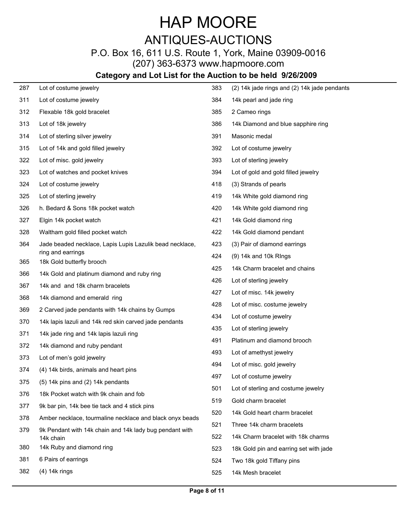## HAP MOORE ANTIQUES-AUCTIONS

P.O. Box 16, 611 U.S. Route 1, York, Maine 03909-0016 (207) 363-6373 www.hapmoore.com

| 287        | Lot of costume jewelry                                   | 383 | (2) 14k jade rings and (2) 14k jade pendants |
|------------|----------------------------------------------------------|-----|----------------------------------------------|
| 311        | Lot of costume jewelry                                   | 384 | 14k pearl and jade ring                      |
| 312        | Flexable 18k gold bracelet                               | 385 | 2 Cameo rings                                |
| 313        | Lot of 18k jewelry                                       | 386 | 14k Diamond and blue sapphire ring           |
| 314        | Lot of sterling silver jewelry                           | 391 | Masonic medal                                |
| 315        | Lot of 14k and gold filled jewelry                       | 392 | Lot of costume jewelry                       |
| 322        | Lot of misc. gold jewelry                                | 393 | Lot of sterling jewelry                      |
| 323        | Lot of watches and pocket knives                         | 394 | Lot of gold and gold filled jewelry          |
| 324        | Lot of costume jewelry                                   | 418 | (3) Strands of pearls                        |
| 325        | Lot of sterling jewelry                                  | 419 | 14k White gold diamond ring                  |
| 326        | h. Bedard & Sons 18k pocket watch                        | 420 | 14k White gold diamond ring                  |
| 327        | Elgin 14k pocket watch                                   | 421 | 14k Gold diamond ring                        |
| 328        | Waltham gold filled pocket watch                         | 422 | 14k Gold diamond pendant                     |
| 364        | Jade beaded necklace, Lapis Lupis Lazulik bead necklace, | 423 | (3) Pair of diamond earrings                 |
|            | ring and earrings<br>18k Gold butterfly brooch           | 424 | (9) 14k and 10k Rings                        |
| 365<br>366 | 14k Gold and platinum diamond and ruby ring              | 425 | 14k Charm bracelet and chains                |
| 367        | 14k and and 18k charm bracelets                          | 426 | Lot of sterling jewelry                      |
|            | 14k diamond and emerald ring                             | 427 | Lot of misc. 14k jewelry                     |
| 368<br>369 | 2 Carved jade pendants with 14k chains by Gumps          | 428 | Lot of misc. costume jewelry                 |
| 370        | 14k lapis lazuli and 14k red skin carved jade pendants   | 434 | Lot of costume jewelry                       |
| 371        | 14k jade ring and 14k lapis lazuli ring                  | 435 | Lot of sterling jewelry                      |
| 372        | 14k diamond and ruby pendant                             | 491 | Platinum and diamond brooch                  |
| 373        | Lot of men's gold jewelry                                | 493 | Lot of amethyst jewelry                      |
| 374        | (4) 14k birds, animals and heart pins                    | 494 | Lot of misc. gold jewelry                    |
| 375        | (5) 14k pins and (2) 14k pendants                        | 497 | Lot of costume jewelry                       |
| 376        | 18k Pocket watch with 9k chain and fob                   | 501 | Lot of sterling and costume jewelry          |
| 377        | 9k bar pin, 14k bee tie tack and 4 stick pins            | 519 | Gold charm bracelet                          |
| 378        | Amber necklace, tourmaline necklace and black onyx beads | 520 | 14k Gold heart charm bracelet                |
| 379        | 9k Pendant with 14k chain and 14k lady bug pendant with  | 521 | Three 14k charm bracelets                    |
|            | 14k chain                                                | 522 | 14k Charm bracelet with 18k charms           |
| 380        | 14k Ruby and diamond ring                                | 523 | 18k Gold pin and earring set with jade       |
| 381        | 6 Pairs of earrings                                      | 524 | Two 18k gold Tiffany pins                    |
| 382        | $(4)$ 14 $k$ rings                                       | 525 | 14k Mesh bracelet                            |
|            |                                                          |     |                                              |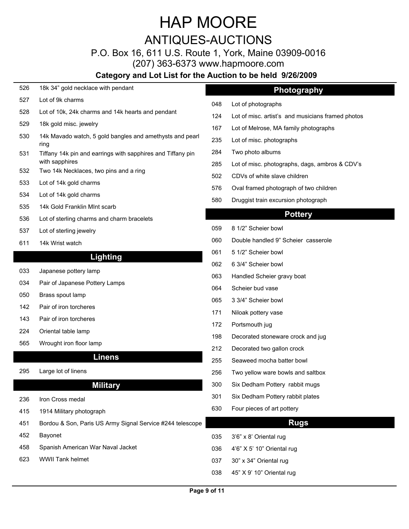ANTIQUES-AUCTIONS

P.O. Box 16, 611 U.S. Route 1, York, Maine 03909-0016

(207) 363-6373 www.hapmoore.com

#### **Category and Lot List for the Auction to be held 9/26/2009**

| 526 | 18k 34" gold necklace with pendant                                  |              | Photography                                       |  |
|-----|---------------------------------------------------------------------|--------------|---------------------------------------------------|--|
| 527 | Lot of 9k charms                                                    | 048          | Lot of photographs                                |  |
| 528 | Lot of 10k, 24k charms and 14k hearts and pendant                   | 124          | Lot of misc. artist's and musicians framed photos |  |
| 529 | 18k gold misc. jewelry                                              | 167          | Lot of Melrose, MA family photographs             |  |
| 530 | 14k Mavado watch, 5 gold bangles and amethysts and pearl            | 235          | Lot of misc. photographs                          |  |
| 531 | ring<br>Tiffany 14k pin and earrings with sapphires and Tiffany pin | 284          | Two photo albums                                  |  |
|     | with sapphires                                                      | 285          | Lot of misc. photographs, dags, ambros & CDV's    |  |
| 532 | Two 14k Necklaces, two pins and a ring                              | 502          | CDVs of white slave children                      |  |
| 533 | Lot of 14k gold charms                                              | 576          | Oval framed photograph of two children            |  |
| 534 | Lot of 14k gold charms                                              | 580          | Druggist train excursion photograph               |  |
| 535 | 14k Gold Franklin MInt scarb                                        |              | <b>Pottery</b>                                    |  |
| 536 | Lot of sterling charms and charm bracelets                          |              |                                                   |  |
| 537 | Lot of sterling jewelry                                             | 059          | 8 1/2" Scheier bowl                               |  |
| 611 | 14k Wrist watch                                                     | 060          | Double handled 9" Scheier casserole               |  |
|     | <b>Lighting</b>                                                     | 061          | 5 1/2" Scheier bowl                               |  |
| 033 | Japanese pottery lamp                                               | 062          | 6 3/4" Scheier bowl                               |  |
| 034 | Pair of Japanese Pottery Lamps                                      | 063          | Handled Scheier gravy boat                        |  |
| 050 | Brass spout lamp                                                    | 064          | Scheier bud vase                                  |  |
| 142 | Pair of iron torcheres                                              | 065          | 3 3/4" Scheier bowl                               |  |
| 143 | Pair of iron torcheres                                              | 171          | Niloak pottery vase                               |  |
| 224 | Oriental table lamp                                                 | 172          | Portsmouth jug                                    |  |
| 565 | Wrought iron floor lamp                                             | 198          | Decorated stoneware crock and jug                 |  |
|     |                                                                     | 212          | Decorated two gallon crock                        |  |
|     | <b>Linens</b>                                                       | 255          | Seaweed mocha batter bowl                         |  |
| 295 | Large lot of linens                                                 | 256          | Two yellow ware bowls and saltbox                 |  |
|     | <b>Military</b>                                                     | 300          | Six Dedham Pottery rabbit mugs                    |  |
| 236 | Iron Cross medal                                                    | 301          | Six Dedham Pottery rabbit plates                  |  |
| 415 | 1914 Military photograph                                            | 630          | Four pieces of art pottery                        |  |
| 451 | Bordou & Son, Paris US Army Signal Service #244 telescope           |              | <b>Rugs</b>                                       |  |
| 452 | Bayonet                                                             | 035          | 3'6" x 8' Oriental rug                            |  |
| 458 | Spanish American War Naval Jacket                                   | 036          | 4'6" X 5' 10" Oriental rug                        |  |
| 623 | WWII Tank helmet                                                    | 037          | 30" x 34" Oriental rug                            |  |
|     |                                                                     | 038          | 45" X 9' 10" Oriental rug                         |  |
|     |                                                                     |              |                                                   |  |
|     |                                                                     | Page 9 of 11 |                                                   |  |

- 048 Lot of photographs 119.000  $\pm 0.000$
- 
- 
- 235 Lot of misc. photographs
- 284 Two photo albums 119.000 Memory and the USA of the USA of the USA of the USA of the USA of the USA of the U
- 285 Lot of misc. photographs, dags, ambros & CDV's
- 502 CDVs of white slave children
- 576 Oval framed photograph of two children
- 580 Druggist train excursion photograph

#### **Pottery**

- 059 8 1/2" Scheier bowl 119.000 119.000 119.000 119.000 119.000 119.000 119.000 11
- 060 Double handled 9" Scheier casserole
- 061 5 1/2" Scheier bowl
- 062 6 3/4" Scheier bowl
- 063 Handled Scheier gravy boat
- 064 Scheier bud vase 119.000 Scheier budget in 19.000 Scheier budget in 19.000 Scheier budget in 19.000 Scheier
- 065 3 3/4" Scheier bowl
- 171 Niloak pottery vase
- 172 Portsmouth jug
- 198 Decorated stoneware crock and jug
- 212 Decorated two gallon crock
- 255 Seaweed mocha batter bowl
- 
- 300 Six Dedham Pottery rabbit mugs
- 301 Six Dedham Pottery rabbit plates
- 630 Four pieces of art pottery

#### **Rugs**

- 
- 
- 
- 038 45" X 9' 10" Oriental rug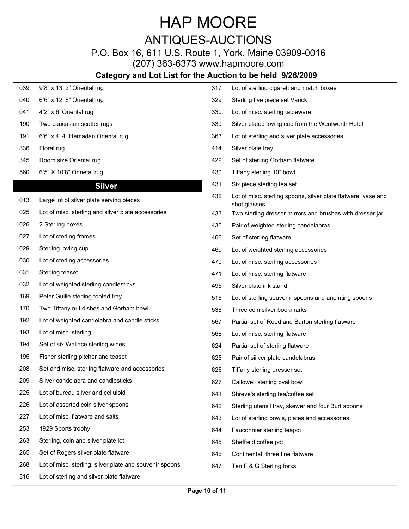### ANTIQUES-AUCTIONS

### P.O. Box 16, 611 U.S. Route 1, York, Maine 03909-0016

(207) 363-6373 www.hapmoore.com

### **Category and Lot List for the A**

| 039 | 9'8" x 13' 2" Oriental rug                              | 317 | Lot of sterling cigarett and match boxes                                      |
|-----|---------------------------------------------------------|-----|-------------------------------------------------------------------------------|
| 040 | 6'6" x 12' 8" Oriental rug                              | 329 | Sterling five piece set Varick                                                |
| 041 | 4'2" x 6' Oriental rug                                  | 330 | Lot of misc. sterling tableware                                               |
| 190 | Two caucasian scatter rugs                              | 339 | Silver plated loving cup from the Wentworth Hotel                             |
| 191 | 6'6" x 4' 4" Hamadan Oriental rug                       | 363 | Lot of sterling and silver plate accessories                                  |
| 336 | Floral rug                                              | 414 | Silver plate tray                                                             |
| 345 | Room size Oriental rug                                  | 429 | Set of sterling Gorham flatware                                               |
| 560 | 6'5" X 10'8" Orinetal rug                               | 430 | Tiffany sterling 10" bowl                                                     |
|     | <b>Silver</b>                                           | 431 | Six piece sterling tea set                                                    |
| 013 | Large lot of silver plate serving pieces                | 432 | Lot of misc. sterling spoons, silver plate flatware, vase and<br>shot glasses |
| 025 | Lot of misc. sterling and silver plate accessories      | 433 | Two sterling dresser mirrors and brushes with dresser jar                     |
| 026 | 2 Sterling boxes                                        | 436 | Pair of weighted sterling candelabras                                         |
| 027 | Lot of sterling frames                                  | 466 | Set of sterling flatware                                                      |
| 029 | Sterling loving cup                                     | 469 | Lot of weighted sterling accessories                                          |
| 030 | Lot of sterling accessories                             | 470 | Lot of misc. sterling accessories                                             |
| 031 | Sterling teaset                                         | 471 | Lot of misc. sterling flatware                                                |
| 032 | Lot of weighted sterling candlesticks                   | 495 | Silver plate ink stand                                                        |
| 169 | Peter Guille sterling footed tray                       | 515 | Lot of sterling souvenir spoons and anointing spoons                          |
| 170 | Two Tiffany nut dishes and Gorham bowl                  | 538 | Three coin silver bookmarks                                                   |
| 192 | Lot of weighted candelabra and candle sticks            | 567 | Partial set of Reed and Barton sterling flatware                              |
| 193 | Lot of misc. sterling                                   | 568 | Lot of misc. sterling flatware                                                |
| 194 | Set of six Wallace sterling wines                       | 624 | Partial set of sterling flatware                                              |
| 195 | Fisher sterling pitcher and teaset                      | 625 | Pair of silver plate candelabras                                              |
| 208 | Set and misc. sterling flatware and accessories         | 626 | Tiffany sterling dresser set                                                  |
| 209 | Silver candelabra and candlesticks                      | 627 | Callowell sterling oval bowl                                                  |
| 225 | Lot of bureau silver and celluloid                      | 641 | Shreve's sterling tea/coffee set                                              |
| 226 | Lot of assorted coin silver spoons                      | 642 | Sterling utensil tray, skewer and four Burt spoons                            |
| 227 | Lot of misc. flatware and salts                         | 643 | Lot of sterling bowls, plates and accessories                                 |
| 253 | 1929 Sports trophy                                      | 644 | Fauconnier sterling teapot                                                    |
| 263 | Sterling, coin and silver plate lot                     | 645 | Sheffield coffee pot                                                          |
| 265 | Set of Rogers silver plate flatware                     | 646 | Continental three tine flatware                                               |
| 268 | Lot of misc. sterling, silver plate and souvenir spoons | 647 | Ten F & G Sterling forks                                                      |
| 316 | Lot of sterling and silver plate flatware               |     |                                                                               |

|     | uction to be held 9/26/2009                                                   |
|-----|-------------------------------------------------------------------------------|
| 317 | Lot of sterling cigarett and match boxes                                      |
| 329 | Sterling five piece set Varick                                                |
| 330 | Lot of misc. sterling tableware                                               |
| 339 | Silver plated loving cup from the Wentworth Hotel                             |
| 363 | Lot of sterling and silver plate accessories                                  |
| 414 | Silver plate tray                                                             |
| 429 | Set of sterling Gorham flatware                                               |
| 430 | Tiffany sterling 10" bowl                                                     |
| 431 | Six piece sterling tea set                                                    |
| 432 | Lot of misc. sterling spoons, silver plate flatware, vase and<br>shot glasses |
| 433 | Two sterling dresser mirrors and brushes with dresser jar                     |
| 436 | Pair of weighted sterling candelabras                                         |
| 466 | Set of sterling flatware                                                      |
| 469 | Lot of weighted sterling accessories                                          |
| 470 | Lot of misc. sterling accessories                                             |
| 471 | Lot of misc. sterling flatware                                                |
| 495 | Silver plate ink stand                                                        |
| 515 | Lot of sterling souvenir spoons and anointing spoons                          |
| 538 | Three coin silver bookmarks                                                   |
| 567 | Partial set of Reed and Barton sterling flatware                              |
| 568 | Lot of misc. sterling flatware                                                |
| 624 | Partial set of sterling flatware                                              |
| 625 | Pair of siilver plate candelabras                                             |
| 626 | Tiffany sterling dresser set                                                  |
| 627 | Callowell sterling oval bowl                                                  |
| 641 | Shreve's sterling tea/coffee set                                              |
| 642 | Sterling utensil tray, skewer and four Burt spoons                            |
| 643 | Lot of sterling bowls, plates and accessories                                 |
| 644 | Fauconnier sterling teapot                                                    |
| 645 | Sheffield coffee pot                                                          |
| 646 | Continental three tine flatware                                               |
| 647 | Ten F & G Sterling forks                                                      |